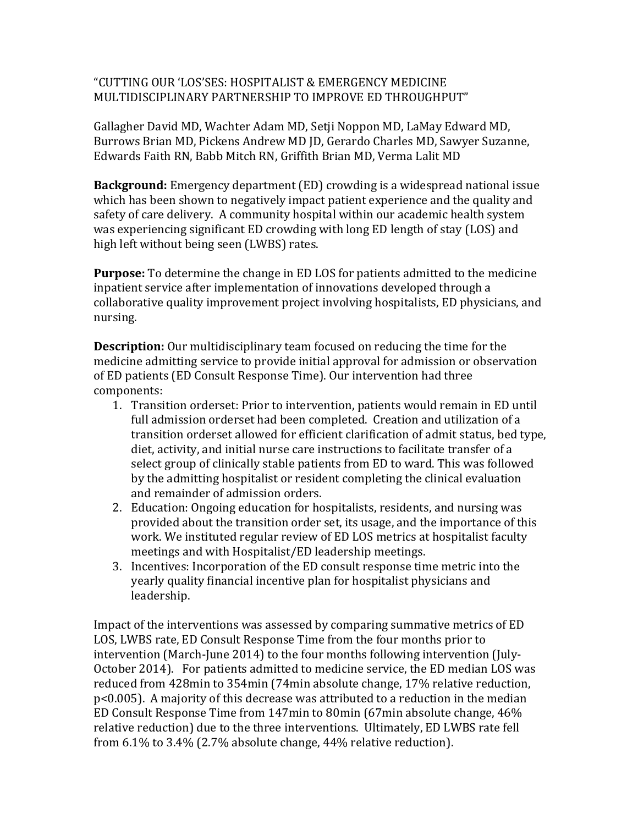## "CUTTING OUR 'LOS'SES: HOSPITALIST & EMERGENCY MEDICINE MULTIDISCIPLINARY PARTNERSHIP TO IMPROVE ED THROUGHPUT"

Gallagher David MD, Wachter Adam MD, Setji Noppon MD, LaMay Edward MD, Burrows Brian MD, Pickens Andrew MD JD, Gerardo Charles MD, Sawyer Suzanne, Edwards Faith RN, Babb Mitch RN, Griffith Brian MD, Verma Lalit MD

**Background:** Emergency department (ED) crowding is a widespread national issue which has been shown to negatively impact patient experience and the quality and safety of care delivery. A community hospital within our academic health system was experiencing significant ED crowding with long ED length of stay (LOS) and high left without being seen (LWBS) rates.

**Purpose:** To determine the change in ED LOS for patients admitted to the medicine inpatient service after implementation of innovations developed through a collaborative quality improvement project involving hospitalists, ED physicians, and nursing.

**Description:** Our multidisciplinary team focused on reducing the time for the medicine admitting service to provide initial approval for admission or observation of ED patients (ED Consult Response Time). Our intervention had three components:

- 1. Transition orderset: Prior to intervention, patients would remain in ED until full admission orderset had been completed. Creation and utilization of a transition orderset allowed for efficient clarification of admit status, bed type, diet, activity, and initial nurse care instructions to facilitate transfer of a select group of clinically stable patients from ED to ward. This was followed by the admitting hospitalist or resident completing the clinical evaluation and remainder of admission orders.
- 2. Education: Ongoing education for hospitalists, residents, and nursing was provided about the transition order set, its usage, and the importance of this work. We instituted regular review of ED LOS metrics at hospitalist faculty meetings and with Hospitalist/ED leadership meetings.
- 3. Incentives: Incorporation of the ED consult response time metric into the yearly quality financial incentive plan for hospitalist physicians and leadership.

Impact of the interventions was assessed by comparing summative metrics of ED LOS, LWBS rate, ED Consult Response Time from the four months prior to intervention (March-June 2014) to the four months following intervention (July-October 2014). For patients admitted to medicine service, the ED median LOS was reduced from 428min to 354min (74min absolute change, 17% relative reduction, p<0.005). A majority of this decrease was attributed to a reduction in the median ED Consult Response Time from 147min to 80min (67min absolute change, 46% relative reduction) due to the three interventions. Ultimately, ED LWBS rate fell from 6.1% to 3.4% (2.7% absolute change, 44% relative reduction).